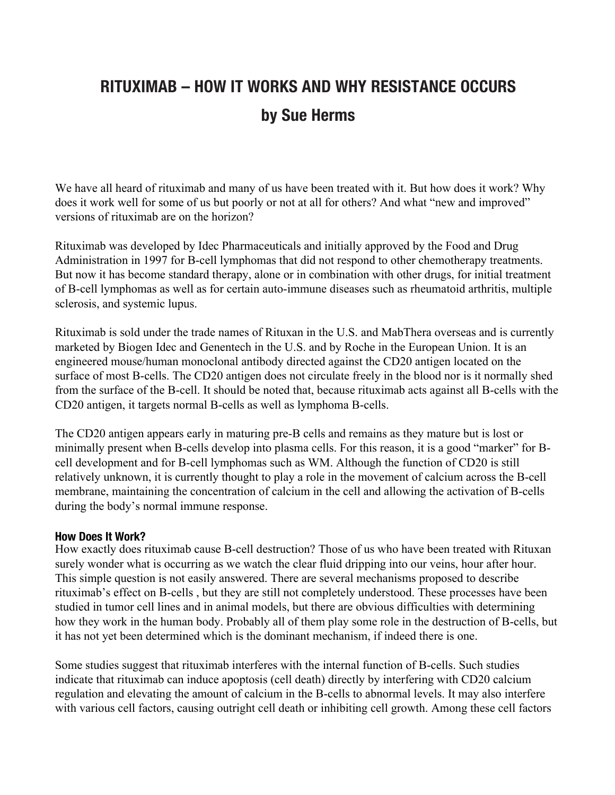## **RITUXIMAB – HOW IT WORKS AND WHY RESISTANCE OCCURS by Sue Herms**

We have all heard of rituximab and many of us have been treated with it. But how does it work? Why does it work well for some of us but poorly or not at all for others? And what "new and improved" versions of rituximab are on the horizon?

Rituximab was developed by Idec Pharmaceuticals and initially approved by the Food and Drug Administration in 1997 for B-cell lymphomas that did not respond to other chemotherapy treatments. But now it has become standard therapy, alone or in combination with other drugs, for initial treatment of B-cell lymphomas as well as for certain auto-immune diseases such as rheumatoid arthritis, multiple sclerosis, and systemic lupus.

Rituximab is sold under the trade names of Rituxan in the U.S. and MabThera overseas and is currently marketed by Biogen Idec and Genentech in the U.S. and by Roche in the European Union. It is an engineered mouse/human monoclonal antibody directed against the CD20 antigen located on the surface of most B-cells. The CD20 antigen does not circulate freely in the blood nor is it normally shed from the surface of the B-cell. It should be noted that, because rituximab acts against all B-cells with the CD20 antigen, it targets normal B-cells as well as lymphoma B-cells.

The CD20 antigen appears early in maturing pre-B cells and remains as they mature but is lost or minimally present when B-cells develop into plasma cells. For this reason, it is a good "marker" for Bcell development and for B-cell lymphomas such as WM. Although the function of CD20 is still relatively unknown, it is currently thought to play a role in the movement of calcium across the B-cell membrane, maintaining the concentration of calcium in the cell and allowing the activation of B-cells during the body's normal immune response.

## **How Does It Work?**

How exactly does rituximab cause B-cell destruction? Those of us who have been treated with Rituxan surely wonder what is occurring as we watch the clear fluid dripping into our veins, hour after hour. This simple question is not easily answered. There are several mechanisms proposed to describe rituximab's effect on B-cells , but they are still not completely understood. These processes have been studied in tumor cell lines and in animal models, but there are obvious difficulties with determining how they work in the human body. Probably all of them play some role in the destruction of B-cells, but it has not yet been determined which is the dominant mechanism, if indeed there is one.

Some studies suggest that rituximab interferes with the internal function of B-cells. Such studies indicate that rituximab can induce apoptosis (cell death) directly by interfering with CD20 calcium regulation and elevating the amount of calcium in the B-cells to abnormal levels. It may also interfere with various cell factors, causing outright cell death or inhibiting cell growth. Among these cell factors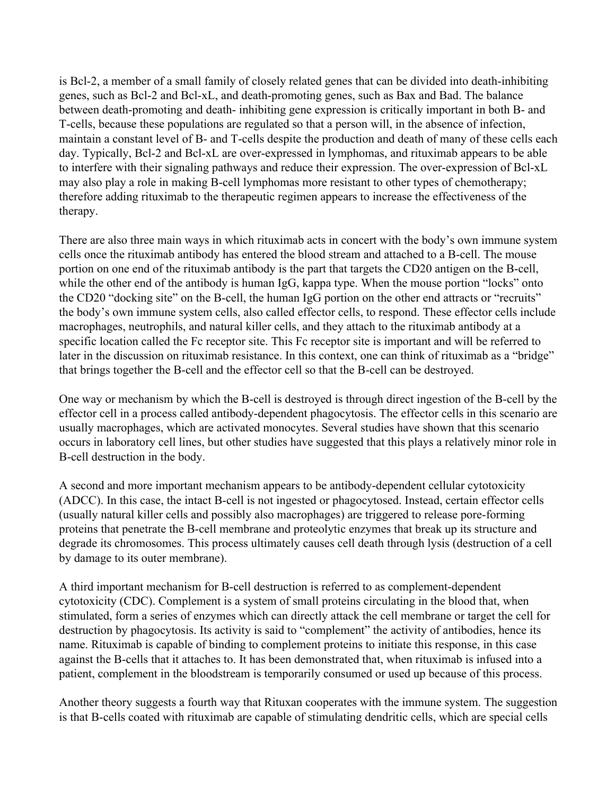is Bcl-2, a member of a small family of closely related genes that can be divided into death-inhibiting genes, such as Bcl-2 and Bcl-xL, and death-promoting genes, such as Bax and Bad. The balance between death-promoting and death- inhibiting gene expression is critically important in both B- and T-cells, because these populations are regulated so that a person will, in the absence of infection, maintain a constant level of B- and T-cells despite the production and death of many of these cells each day. Typically, Bcl-2 and Bcl-xL are over-expressed in lymphomas, and rituximab appears to be able to interfere with their signaling pathways and reduce their expression. The over-expression of Bcl-xL may also play a role in making B-cell lymphomas more resistant to other types of chemotherapy; therefore adding rituximab to the therapeutic regimen appears to increase the effectiveness of the therapy.

There are also three main ways in which rituximab acts in concert with the body's own immune system cells once the rituximab antibody has entered the blood stream and attached to a B-cell. The mouse portion on one end of the rituximab antibody is the part that targets the CD20 antigen on the B-cell, while the other end of the antibody is human IgG, kappa type. When the mouse portion "locks" onto the CD20 "docking site" on the B-cell, the human IgG portion on the other end attracts or "recruits" the body's own immune system cells, also called effector cells, to respond. These effector cells include macrophages, neutrophils, and natural killer cells, and they attach to the rituximab antibody at a specific location called the Fc receptor site. This Fc receptor site is important and will be referred to later in the discussion on rituximab resistance. In this context, one can think of rituximab as a "bridge" that brings together the B-cell and the effector cell so that the B-cell can be destroyed.

One way or mechanism by which the B-cell is destroyed is through direct ingestion of the B-cell by the effector cell in a process called antibody-dependent phagocytosis. The effector cells in this scenario are usually macrophages, which are activated monocytes. Several studies have shown that this scenario occurs in laboratory cell lines, but other studies have suggested that this plays a relatively minor role in B-cell destruction in the body.

A second and more important mechanism appears to be antibody-dependent cellular cytotoxicity (ADCC). In this case, the intact B-cell is not ingested or phagocytosed. Instead, certain effector cells (usually natural killer cells and possibly also macrophages) are triggered to release pore-forming proteins that penetrate the B-cell membrane and proteolytic enzymes that break up its structure and degrade its chromosomes. This process ultimately causes cell death through lysis (destruction of a cell by damage to its outer membrane).

A third important mechanism for B-cell destruction is referred to as complement-dependent cytotoxicity (CDC). Complement is a system of small proteins circulating in the blood that, when stimulated, form a series of enzymes which can directly attack the cell membrane or target the cell for destruction by phagocytosis. Its activity is said to "complement" the activity of antibodies, hence its name. Rituximab is capable of binding to complement proteins to initiate this response, in this case against the B-cells that it attaches to. It has been demonstrated that, when rituximab is infused into a patient, complement in the bloodstream is temporarily consumed or used up because of this process.

Another theory suggests a fourth way that Rituxan cooperates with the immune system. The suggestion is that B-cells coated with rituximab are capable of stimulating dendritic cells, which are special cells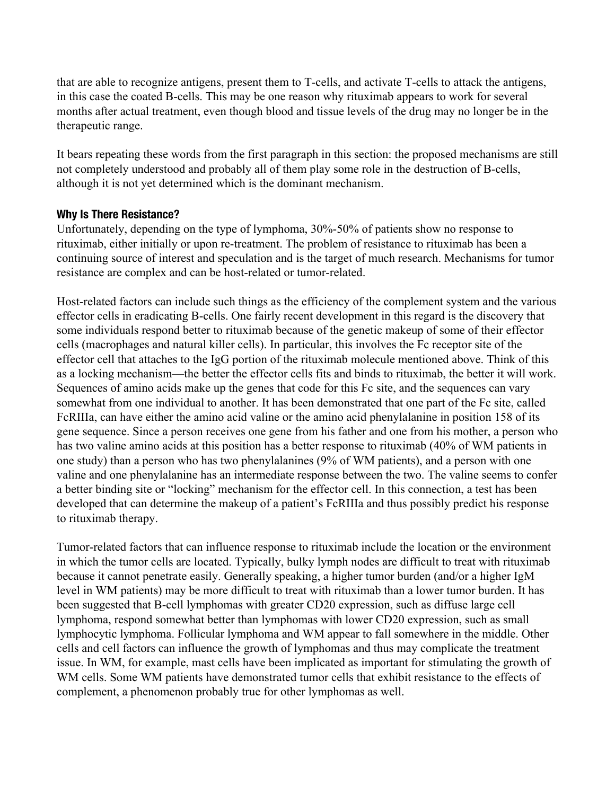that are able to recognize antigens, present them to T-cells, and activate T-cells to attack the antigens, in this case the coated B-cells. This may be one reason why rituximab appears to work for several months after actual treatment, even though blood and tissue levels of the drug may no longer be in the therapeutic range.

It bears repeating these words from the first paragraph in this section: the proposed mechanisms are still not completely understood and probably all of them play some role in the destruction of B-cells, although it is not yet determined which is the dominant mechanism.

## **Why Is There Resistance?**

Unfortunately, depending on the type of lymphoma, 30%-50% of patients show no response to rituximab, either initially or upon re-treatment. The problem of resistance to rituximab has been a continuing source of interest and speculation and is the target of much research. Mechanisms for tumor resistance are complex and can be host-related or tumor-related.

Host-related factors can include such things as the efficiency of the complement system and the various effector cells in eradicating B-cells. One fairly recent development in this regard is the discovery that some individuals respond better to rituximab because of the genetic makeup of some of their effector cells (macrophages and natural killer cells). In particular, this involves the Fc receptor site of the effector cell that attaches to the IgG portion of the rituximab molecule mentioned above. Think of this as a locking mechanism—the better the effector cells fits and binds to rituximab, the better it will work. Sequences of amino acids make up the genes that code for this Fc site, and the sequences can vary somewhat from one individual to another. It has been demonstrated that one part of the Fc site, called FcRIIIa, can have either the amino acid valine or the amino acid phenylalanine in position 158 of its gene sequence. Since a person receives one gene from his father and one from his mother, a person who has two valine amino acids at this position has a better response to rituximab (40% of WM patients in one study) than a person who has two phenylalanines (9% of WM patients), and a person with one valine and one phenylalanine has an intermediate response between the two. The valine seems to confer a better binding site or "locking" mechanism for the effector cell. In this connection, a test has been developed that can determine the makeup of a patient's FcRIIIa and thus possibly predict his response to rituximab therapy.

Tumor-related factors that can influence response to rituximab include the location or the environment in which the tumor cells are located. Typically, bulky lymph nodes are difficult to treat with rituximab because it cannot penetrate easily. Generally speaking, a higher tumor burden (and/or a higher IgM level in WM patients) may be more difficult to treat with rituximab than a lower tumor burden. It has been suggested that B-cell lymphomas with greater CD20 expression, such as diffuse large cell lymphoma, respond somewhat better than lymphomas with lower CD20 expression, such as small lymphocytic lymphoma. Follicular lymphoma and WM appear to fall somewhere in the middle. Other cells and cell factors can influence the growth of lymphomas and thus may complicate the treatment issue. In WM, for example, mast cells have been implicated as important for stimulating the growth of WM cells. Some WM patients have demonstrated tumor cells that exhibit resistance to the effects of complement, a phenomenon probably true for other lymphomas as well.